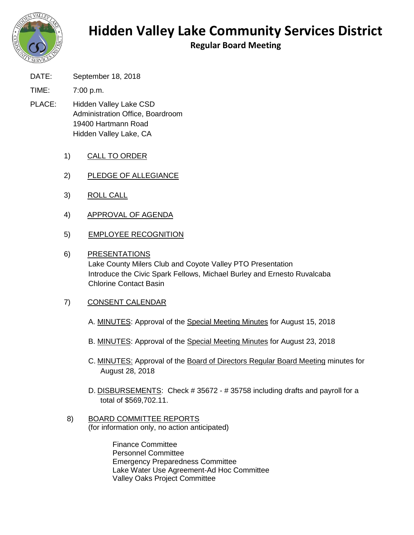

## **Hidden Valley Lake Community Services District**

**Regular Board Meeting**

DATE: September 18, 2018

TIME: 7:00 p.m.

- PLACE: Hidden Valley Lake CSD Administration Office, Boardroom 19400 Hartmann Road Hidden Valley Lake, CA
	- 1) CALL TO ORDER
	- 2) PLEDGE OF ALLEGIANCE
	- 3) ROLL CALL
	- 4) APPROVAL OF AGENDA
	- 5) EMPLOYEE RECOGNITION

## 6) PRESENTATIONS

Lake County Milers Club and Coyote Valley PTO Presentation Introduce the Civic Spark Fellows, Michael Burley and Ernesto Ruvalcaba Chlorine Contact Basin

## 7) CONSENT CALENDAR

- A. MINUTES: Approval of the Special Meeting Minutes for August 15, 2018
- B. MINUTES: Approval of the Special Meeting Minutes for August 23, 2018
- C. MINUTES: Approval of the Board of Directors Regular Board Meeting minutes for August 28, 2018
- D. DISBURSEMENTS: Check # 35672 # 35758 including drafts and payroll for a total of \$569,702.11.
- 8) BOARD COMMITTEE REPORTS (for information only, no action anticipated)

Finance Committee Personnel Committee Emergency Preparedness Committee Lake Water Use Agreement-Ad Hoc Committee Valley Oaks Project Committee